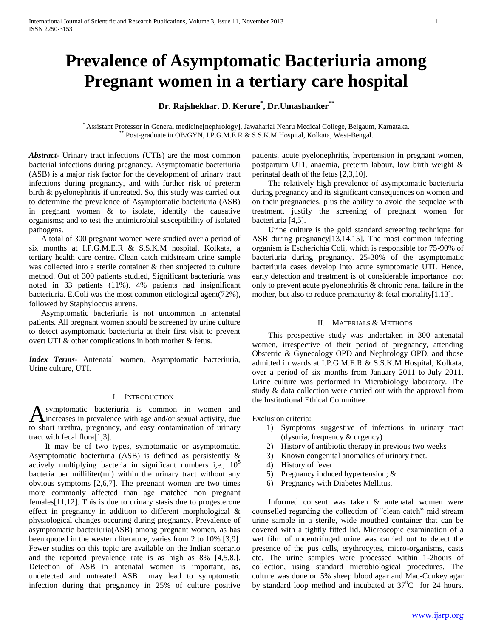# **Prevalence of Asymptomatic Bacteriuria among Pregnant women in a tertiary care hospital**

# **Dr. Rajshekhar. D. Kerure\* , Dr.Umashanker\*\***

\* Assistant Professor in General medicine[nephrology], Jawaharlal Nehru Medical College, Belgaum, Karnataka. Post-graduate in OB/GYN, I.P.G.M.E.R & S.S.K.M Hospital, Kolkata, West-Bengal.

*Abstract***-** Urinary tract infections (UTIs) are the most common bacterial infections during pregnancy. Asymptomatic bacteriuria (ASB) is a major risk factor for the development of urinary tract infections during pregnancy, and with further risk of preterm birth & pyelonephritis if untreated. So, this study was carried out to determine the prevalence of Asymptomatic bacteriuria (ASB) in pregnant women & to isolate, identify the causative organisms; and to test the antimicrobial susceptibility of isolated pathogens.

 A total of 300 pregnant women were studied over a period of six months at I.P.G.M.E.R & S.S.K.M hospital, Kolkata, a tertiary health care centre. Clean catch midstream urine sample was collected into a sterile container & then subjected to culture method. Out of 300 patients studied, Significant bacteriuria was noted in 33 patients (11%). 4% patients had insignificant bacteriuria. E.Coli was the most common etiological agent(72%), followed by Staphyloccus aureus.

 Asymptomatic bacteriuria is not uncommon in antenatal patients. All pregnant women should be screened by urine culture to detect asymptomatic bacteriuria at their first visit to prevent overt UTI & other complications in both mother & fetus.

*Index Terms*- Antenatal women, Asymptomatic bacteriuria, Urine culture, UTI.

### I. INTRODUCTION

symptomatic bacteriuria is common in women and A symptomatic bacteriuria is common in women and increases in prevalence with age and/or sexual activity, due to short urethra, pregnancy, and easy contamination of urinary tract with fecal flora[1,3].

 It may be of two types, symptomatic or asymptomatic. Asymptomatic bacteriuria (ASB) is defined as persistently & actively multiplying bacteria in significant numbers i,e.,  $10^5$ bacteria per milliliter(ml) within the urinary tract without any obvious symptoms [2,6,7]. The pregnant women are two times more commonly affected than age matched non pregnant females[11,12]. This is due to urinary stasis due to progesterone effect in pregnancy in addition to different morphological & physiological changes occuring during pregnancy. Prevalence of asymptomatic bacteriuria(ASB) among pregnant women, as has been quoted in the western literature, varies from 2 to 10% [3,9]. Fewer studies on this topic are available on the Indian scenario and the reported prevalence rate is as high as 8% [4,5,8.]. Detection of ASB in antenatal women is important, as, undetected and untreated ASB may lead to symptomatic infection during that pregnancy in 25% of culture positive

patients, acute pyelonephritis, hypertension in pregnant women, postpartum UTI, anaemia, preterm labour, low birth weight & perinatal death of the fetus [2,3,10].

 The relatively high prevalence of asymptomatic bacteriuria during pregnancy and its significant consequences on women and on their pregnancies, plus the ability to avoid the sequelae with treatment, justify the screening of pregnant women for bacteriuria [4,5].

 Urine culture is the gold standard screening technique for ASB during pregnancy[13,14,15]. The most common infecting organism is Escherichia Coli, which is responsible for 75-90% of bacteriuria during pregnancy. 25-30% of the asymptomatic bacteriuria cases develop into acute symptomatic UTI. Hence, early detection and treatment is of considerable importance not only to prevent acute pyelonephritis & chronic renal failure in the mother, but also to reduce prematurity  $\&$  fetal mortality[1,13].

#### II. MATERIALS & METHODS

 This prospective study was undertaken in 300 antenatal women, irrespective of their period of pregnancy, attending Obstetric & Gynecology OPD and Nephrology OPD, and those admitted in wards at I.P.G.M.E.R & S.S.K.M Hospital, Kolkata, over a period of six months from January 2011 to July 2011. Urine culture was performed in Microbiology laboratory. The study & data collection were carried out with the approval from the Institutional Ethical Committee.

Exclusion criteria:

- 1) Symptoms suggestive of infections in urinary tract (dysuria, frequency & urgency)
- 2) History of antibiotic therapy in previous two weeks
- 3) Known congenital anomalies of urinary tract.
- 4) History of fever
- 5) Pregnancy induced hypertension; &
- 6) Pregnancy with Diabetes Mellitus.

 Informed consent was taken & antenatal women were counselled regarding the collection of "clean catch" mid stream urine sample in a sterile, wide mouthed container that can be covered with a tightly fitted lid. Microscopic examination of a wet film of uncentrifuged urine was carried out to detect the presence of the pus cells, erythrocytes, micro-organisms, casts etc. The urine samples were processed within 1-2hours of collection, using standard microbiological procedures. The culture was done on 5% sheep blood agar and Mac-Conkey agar by standard loop method and incubated at  $37^0C$  for 24 hours.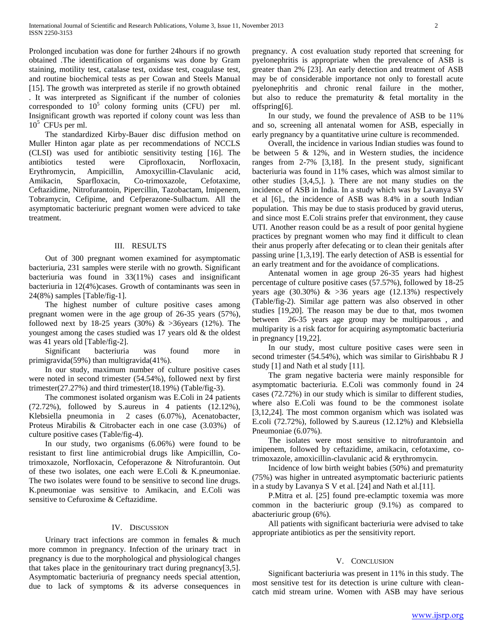Prolonged incubation was done for further 24hours if no growth obtained .The identification of organisms was done by Gram staining, motility test, catalase test, oxidase test, coagulase test, and routine biochemical tests as per Cowan and Steels Manual [15]. The growth was interpreted as sterile if no growth obtained . It was interpreted as Significant if the number of colonies corresponded to  $10^5$  colony forming units (CFU) per ml. Insignificant growth was reported if colony count was less than  $10^5$  CFUs per ml.

 The standardized Kirby-Bauer disc diffusion method on Muller Hinton agar plate as per recommendations of NCCLS (CLSI) was used for antibiotic sensitivity testing [16]. The antibiotics tested were Ciprofloxacin, Norfloxacin, Erythromycin, Ampicillin, Amoxycillin-Clavulanic acid, Amikacin, Sparfloxacin, Co-trimoxazole, Cefotaxime, Ceftazidime, Nitrofurantoin, Pipercillin, Tazobactam, Imipenem, Tobramycin, Cefipime, and Cefperazone-Sulbactum. All the asymptomatic bacteriuric pregnant women were adviced to take treatment.

#### III. RESULTS

 Out of 300 pregnant women examined for asymptomatic bacteriuria, 231 samples were sterile with no growth. Significant bacteriuria was found in 33(11%) cases and insignificant bacteriuria in 12(4%)cases. Growth of contaminants was seen in 24(8%) samples [Table/fig-1].

 The highest number of culture positive cases among pregnant women were in the age group of 26-35 years (57%), followed next by 18-25 years (30%)  $\&$  >36years (12%). The youngest among the cases studied was 17 years old & the oldest was 41 years old [Table/fig-2].

 Significant bacteriuria was found more in primigravida(59%) than multigravida(41%).

 In our study, maximum number of culture positive cases were noted in second trimester (54.54%), followed next by first trimester $(27.27\%)$  and third trimester $(18.19\%)$  (Table/fig-3).

 The commonest isolated organism was E.Coli in 24 patients (72.72%), followed by S.aureus in 4 patients (12.12%), Klebsiella pneumonia in 2 cases (6.07%), Acenatobacter, Proteus Mirabilis & Citrobacter each in one case (3.03%) of culture positive cases (Table/fig-4).

 In our study, two organisms (6.06%) were found to be resistant to first line antimicrobial drugs like Ampicillin, Cotrimoxazole, Norfloxacin, Cefoperazone & Nitrofurantoin. Out of these two isolates, one each were E.Coli & K.pneumoniae. The two isolates were found to be sensitive to second line drugs. K.pneumoniae was sensitive to Amikacin, and E.Coli was sensitive to Cefuroxime & Ceftazidime.

#### IV. DISCUSSION

 Urinary tract infections are common in females & much more common in pregnancy. Infection of the urinary tract in pregnancy is due to the morphological and physiological changes that takes place in the genitourinary tract during pregnancy[3,5]. Asymptomatic bacteriuria of pregnancy needs special attention, due to lack of symptoms & its adverse consequences in pregnancy. A cost evaluation study reported that screening for pyelonephritis is appropriate when the prevalence of ASB is greater than 2% [23]. An early detection and treatment of ASB may be of considerable importance not only to forestall acute pyelonephritis and chronic renal failure in the mother, but also to reduce the prematurity  $\&$  fetal mortality in the offspring[6].

 In our study, we found the prevalence of ASB to be 11% and so, screening all antenatal women for ASB, especially in early pregnancy by a quantitative urine culture is recommended.

 Overall, the incidence in various Indian studies was found to be between 5 & 12%, and in Western studies, the incidence ranges from 2-7% [3,18]. In the present study, significant bacteriuria was found in 11% cases, which was almost similar to other studies [3,4,5,]. ). There are not many studies on the incidence of ASB in India. In a study which was by Lavanya SV et al [6]., the incidence of ASB was 8.4% in a south Indian population. This may be due to stasis produced by gravid uterus, and since most E.Coli strains prefer that environment, they cause UTI. Another reason could be as a result of poor genital hygiene practices by pregnant women who may find it difficult to clean their anus properly after defecating or to clean their genitals after passing urine [1,3,19]. The early detection of ASB is essential for an early treatment and for the avoidance of complications.

 Antenatal women in age group 26-35 years had highest percentage of culture positive cases (57.57%), followed by 18-25 years age  $(30.30\%)$  &  $>36$  years age  $(12.13\%)$  respectively (Table/fig-2). Similar age pattern was also observed in other studies [19,20]. The reason may be due to that, mos twomen between 26-35 years age group may be multiparous , and multiparity is a risk factor for acquiring asymptomatic bacteriuria in pregnancy [19,22].

 In our study, most culture positive cases were seen in second trimester (54.54%), which was similar to Girishbabu R J study [1] and Nath et al study [11].

 The gram negative bacteria were mainly responsible for asymptomatic bacteriuria. E.Coli was commonly found in 24 cases (72.72%) in our study which is similar to different studies, where also E.Coli was found to be the commonest isolate [3,12,24]. The most common organism which was isolated was E.coli (72.72%), followed by S.aureus (12.12%) and Klebsiella Pneumoniae (6.07%).

 The isolates were most sensitive to nitrofurantoin and imipenem, followed by ceftazidime, amikacin, cefotaxime, cotrimoxazole, amoxicillin-clavulanic acid & erythromycin.

 Incidence of low birth weight babies (50%) and prematurity (75%) was higher in untreated asymptomatic bacteriuric patients in a study by Lavanya S V et al. [24] and Nath et al.[11].

 P.Mitra et al. [25] found pre-eclamptic toxemia was more common in the bacteriuric group (9.1%) as compared to abacteriuric group (6%).

 All patients with significant bacteriuria were advised to take appropriate antibiotics as per the sensitivity report.

#### V. CONCLUSION

 Significant bacteriuria was present in 11% in this study. The most sensitive test for its detection is urine culture with cleancatch mid stream urine. Women with ASB may have serious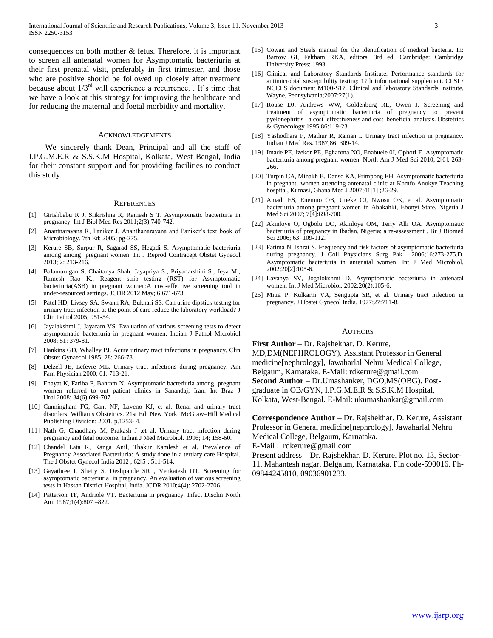consequences on both mother & fetus. Therefore, it is important to screen all antenatal women for Asymptomatic bacteriuria at their first prenatal visit, preferably in first trimester, and those who are positive should be followed up closely after treatment because about  $1/3<sup>rd</sup>$  will experience a recurrence. . It's time that we have a look at this strategy for improving the healthcare and for reducing the maternal and foetal morbidity and mortality.

#### ACKNOWLEDGEMENTS

 We sincerely thank Dean, Principal and all the staff of I.P.G.M.E.R & S.S.K.M Hospital, Kolkata, West Bengal, India for their constant support and for providing facilities to conduct this study.

#### **REFERENCES**

- [1] Girishbabu R J, Srikrishna R, Ramesh S T. Asymptomatic bacteriuria in pregnancy. Int J Biol Med Res 2011;2(3);740-742.
- [2] Anantnarayana R, Paniker J. Ananthanarayana and Paniker's text book of Microbiology. 7th Ed; 2005; pg-275.
- [3] Kerure SB, Surpur R, Sagarad SS, Hegadi S. Asymptomatic bacteriuria among among pregnant women. Int J Reprod Contracept Obstet Gynecol 2013; 2: 213-216.
- [4] Balamurugan S, Chaitanya Shah, Jayapriya S., Priyadarshini S., Jeya M., Ramesh Rao K.. Reagent strip testing (RST) for Asymptomatic bacteriuria(ASB) in pregnant women:A cost-effective screening tool in under-resourced settings. JCDR 2012 May; 6:671-673.
- [5] Patel HD, Livsey SA, Swann RA, Bukhari SS. Can urine dipstick testing for urinary tract infection at the point of care reduce the laboratory workload? J Clin Pathol 2005; 951-54.
- [6] Jayalakshmi J, Jayaram VS. Evaluation of various screening tests to detect asymptomatic bacteriuria in pregnant women. Indian J Pathol Microbiol 2008; 51: 379-81.
- [7] Hankins GD, Whalley PJ. Acute urinary tract infections in pregnancy. Clin Obstet Gynaecol 1985; 28: 266-78.
- [8] Delzell JE, Lefevre ML. Urinary tract infections during pregnancy. Am Fam Physician 2000; 61: 713-21.
- [9] Enayat K, Fariba F, Bahram N. Asymptomatic bacteriuria among pregnant women referred to out patient clinics in Sanandaj, Iran. Int Braz J Urol.2008; 34(6):699-707.
- [10] Cunningham FG, Gant NF, Laveno KJ, et al. Renal and urinary tract disorders. Williams Obstetrics. 21st Ed. New York: McGraw–Hill Medical Publishing Division; 2001. p.1253- 4.
- [11] Nath G, Chaudhary M, Prakash J ,et al. Urinary tract infection during pregnancy and fetal outcome. Indian J Med Microbiol. 1996; 14; 158-60.
- [12] Chandel Lata R, Kanga Anil, Thakur Kamlesh et al. Prevalence of Pregnancy Associated Bacteriuria: A study done in a tertiary care Hospital. The J Obstet Gynecol India 2012 ; 62[5]: 511-514.
- [13] Gayathree I, Shetty S, Deshpande SR, Venkatesh DT. Screening for asymptomatic bacteriuria in pregnancy. An evaluation of various screening tests in Hassan District Hospital, India. JCDR 2010;4(4): 2702-2706.
- [14] Patterson TF, Andriole VT. Bacteriuria in pregnancy. Infect Disclin North Am. 1987;1(4):807 –822.
- [15] Cowan and Steels manual for the identification of medical bacteria. In: Barrow GI, Feltham RKA, editors. 3rd ed. Cambridge: Cambridge University Press; 1993.
- [16] Clinical and Laboratory Standards Institute. Performance standards for antimicrobial susceptibility testing: 17th informational supplement. CLSI / NCCLS document M100-S17. Clinical and laboratory Standards Institute, Wayne, Pennsylvania;2007:27(1).
- [17] Rouse DJ, Andrews WW, Goldenberg RL, Owen J. Screening and treatment of asymptomatic bacteriuria of pregnancy to prevent pyelonephritis : a cost–effectiveness and cost–beneficial analysis. Obstetrics & Gynecology 1995;86:119-23.
- [18] Yashodhara P, Mathur R, Raman I. Urinary tract infection in pregnancy. Indian J Med Res. 1987;86: 309-14.
- [19] Imade PE, Izekor PE, Eghafona NO, Enabuele 0I, Ophori E. Asymptomatic bacteriuria among pregnant women. North Am J Med Sci 2010; 2[6]: 263- 266.
- [20] Turpin CA, Minakh B, Danso KA, Frimpong EH. Asymptomatic bacteriuria in pregnant women attending antenatal clinic at Komfo Anokye Teaching hospital, Kumasi, Ghana Med J 2007;41[1] ;26-29.
- [21] Amadi ES, Enemuo OB, Uneke CJ, Nwosu OK, et al. Asymptomatic bacteriuria among pregnant women in Abakahki, Ebonyi State. Nigeria J Med Sci 2007; 7[4]:698-700.
- [22] Akinloye O, Ogbolu DO, Akinloye OM, Terry Alli OA. Asymptomatic bacteriuria of pregnancy in Ibadan, Nigeria: a re-assessment . Br J Biomed Sci 2006; 63: 109-112.
- [23] Fatima N, Ishrat S. Frequency and risk factors of asymptomatic bacteriuria during pregnancy. J Coll Physicians Surg Pak 2006;16:273-275.D. Asymptomatic bacteriuria in antenatal women. Int J Med Microbiol. 2002;20[2]:105-6.
- [24] Lavanya SV, Jogalokshmi D. Asymptomatic bacteriuria in antenatal women. Int J Med Microbiol. 2002;20(2):105-6.
- [25] Mitra P, Kulkarni VA, Sengupta SR, et al. Urinary tract infection in pregnancy. J Obstet Gynecol India. 1977;27:711-8.

#### AUTHORS

**First Author** – Dr. Rajshekhar. D. Kerure, MD,DM(NEPHROLOGY). Assistant Professor in General medicine[nephrology], Jawaharlal Nehru Medical College, Belgaum, Karnataka. E-Mail: rdkerure@gmail.com **Second Author** – Dr.Umashanker, DGO,MS(OBG). Postgraduate in OB/GYN, I.P.G.M.E.R & S.S.K.M Hospital, Kolkata, West-Bengal. E-Mail: ukumashankar@gmail.com

**Correspondence Author** – Dr. Rajshekhar. D. Kerure, Assistant Professor in General medicine[nephrology], Jawaharlal Nehru Medical College, Belgaum, Karnataka. E-Mail : rdkerure@gmail.com

Present address – Dr. Rajshekhar. D. Kerure. Plot no. 13, Sector-11, Mahantesh nagar, Belgaum, Karnataka. Pin code-590016. Ph-09844245810, 09036901233.